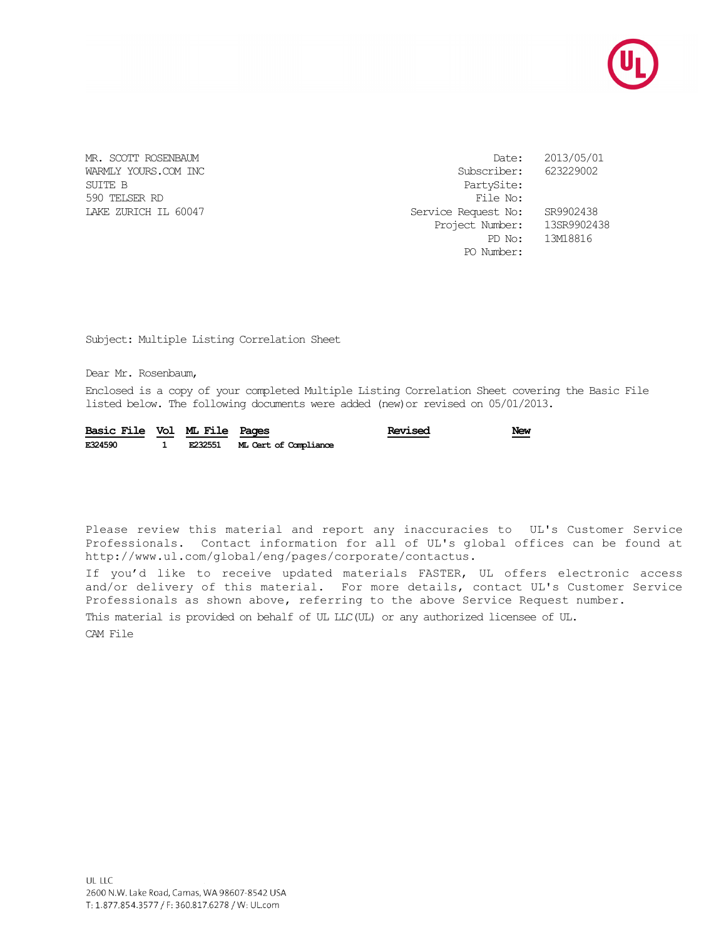

SUITE B PartySite: 590 TELSER RD File No:

MR. SCOTT ROSENBAUM DATE: 2013/05/01 WARMLY YOURS.COM INC Subscriber: 623229002 Service Request No: SR9902438 Project Number: 13SR9902438 PD No: 13M18816 PO Number:

Subject: Multiple Listing Correlation Sheet

Dear Mr. Rosenbaum,

Enclosed is a copy of your completed Multiple Listing Correlation Sheet covering the Basic File listed below. The following documents were added (new)or revised on 05/01/2013.

| Basic File Vol ML File Pages |  |                               | Revised | New |
|------------------------------|--|-------------------------------|---------|-----|
| E324590                      |  | E232551 ML Cert of Compliance |         |     |

Please review this material and report any inaccuracies to UL's Customer Service Professionals. Contact information for all of UL's global offices can be found at http://www.ul.com/global/eng/pages/corporate/contactus.

If you'd like to receive updated materials FASTER, UL offers electronic access and/or delivery of this material. For more details, contact UL's Customer Service Professionals as shown above, referring to the above Service Request number.

This material is provided on behalf of UL LLC(UL) or any authorized licensee of UL.

CAM File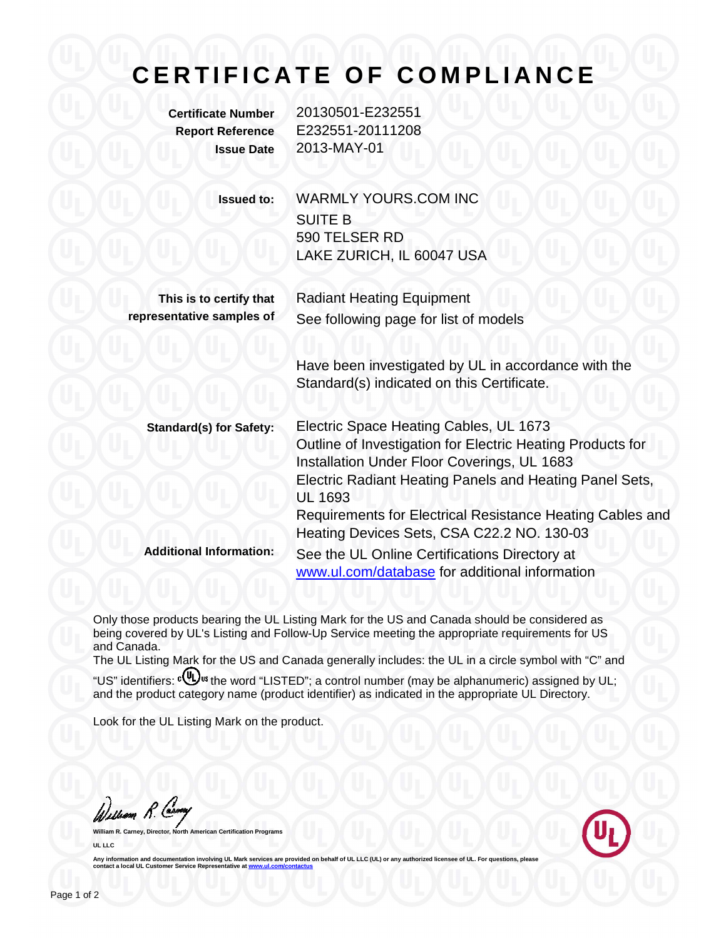## **CERTIFICATE OF COMPLIANCE**

**Certificate Number** 20130501-E232551 **Report Reference** E232551-20111208 **Issue Date** 2013-MAY-01

| <b>Issued to:</b> | WARMLY YOURS.COM INC      |  |  |  |
|-------------------|---------------------------|--|--|--|
|                   | <b>SUITE B</b>            |  |  |  |
|                   | 590 TELSER RD             |  |  |  |
|                   | LAKE ZURICH, IL 60047 USA |  |  |  |
|                   |                           |  |  |  |

**This is to certify that representative samples of**

Radiant Heating Equipment See following page for list of models

Have been investigated by UL in accordance with the Standard(s) indicated on this Certificate.

**Standard(s) for Safety:** Electric Space Heating Cables, UL 1673 Outline of Investigation for Electric Heating Products for Installation Under Floor Coverings, UL 1683 Electric Radiant Heating Panels and Heating Panel Sets, UL 1693 Requirements for Electrical Resistance Heating Cables and Heating Devices Sets, CSA C22.2 NO. 130-03 **Additional Information:** See the UL Online Certifications Directory at [www.ul.com/database](http://www.ul.com/database) for additional information

Only those products bearing the UL Listing Mark for the US and Canada should be considered as being covered by UL's Listing and Follow-Up Service meeting the appropriate requirements for US and Canada.

The UL Listing Mark for the US and Canada generally includes: the UL in a circle symbol with "C" and "US" identifiers: c(U) us the word "LISTED"; a control number (may be alphanumeric) assigned by UL; and the product category name (product identifier) as indicated in the appropriate UL Directory.

Look for the UL Listing Mark on the product.

William R. Carney

**William Report UL LLC** 



Any information and documentation involving UL Mark services are provided on behalf of UL LLC (UL) or any authorized licensee of UL. For questions, please<br>contact a local UL Customer Service Representative at www.ul.com/co